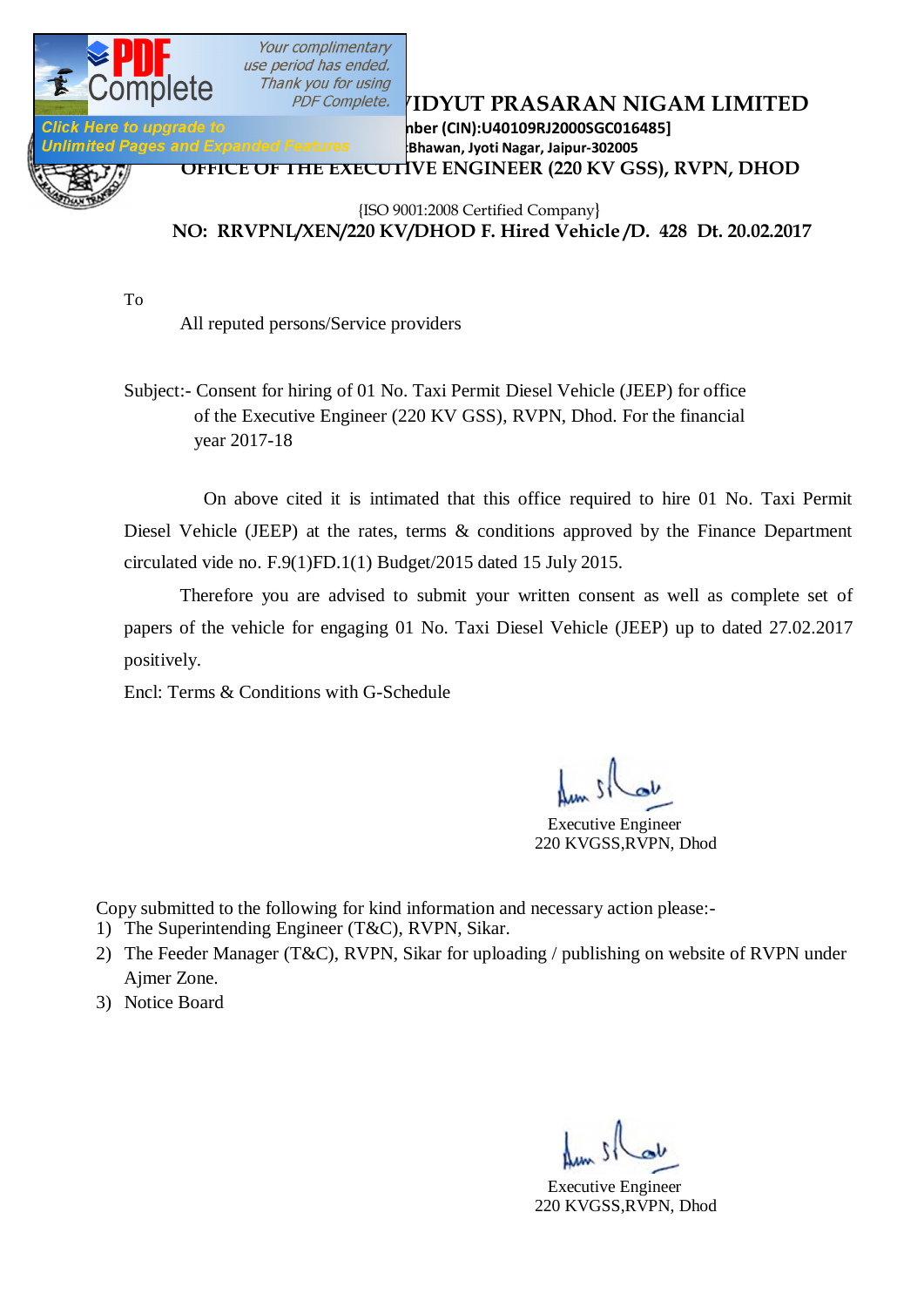

**PDF Complete.** *IDYUT PRASARAN NIGAM LIMITED*  $nber$  (CIN):U40109RJ2000SGC016485] *limited Pages and Expanded Features* **Bhawan, Jyoti Nagar, Jaipur-302005 OFFICE OF THE EXECUTIVE ENGINEER (220 KV GSS), RVPN, DHOD**

> {ISO 9001:2008 Certified Company} **NO: RRVPNL/XEN/220 KV/DHOD F. Hired Vehicle /D. 428 Dt. 20.02.2017**

To

All reputed persons/Service providers

Subject:- Consent for hiring of 01 No. Taxi Permit Diesel Vehicle (JEEP) for office of the Executive Engineer (220 KV GSS), RVPN, Dhod. For the financial year 2017-18

 On above cited it is intimated that this office required to hire 01 No. Taxi Permit Diesel Vehicle (JEEP) at the rates, terms & conditions approved by the Finance Department circulated vide no. F.9(1)FD.1(1) Budget/2015 dated 15 July 2015.

Therefore you are advised to submit your written consent as well as complete set of papers of the vehicle for engaging 01 No. Taxi Diesel Vehicle (JEEP) up to dated 27.02.2017 positively.

Encl: Terms & Conditions with G-Schedule

 Executive Engineer 220 KVGSS,RVPN, Dhod

Copy submitted to the following for kind information and necessary action please:-

- 1) The Superintending Engineer (T&C), RVPN, Sikar.
- 2) The Feeder Manager (T&C), RVPN, Sikar for uploading / publishing on website of RVPN under Ajmer Zone.
- 3) Notice Board

Executive Engineer 220 KVGSS,RVPN, Dhod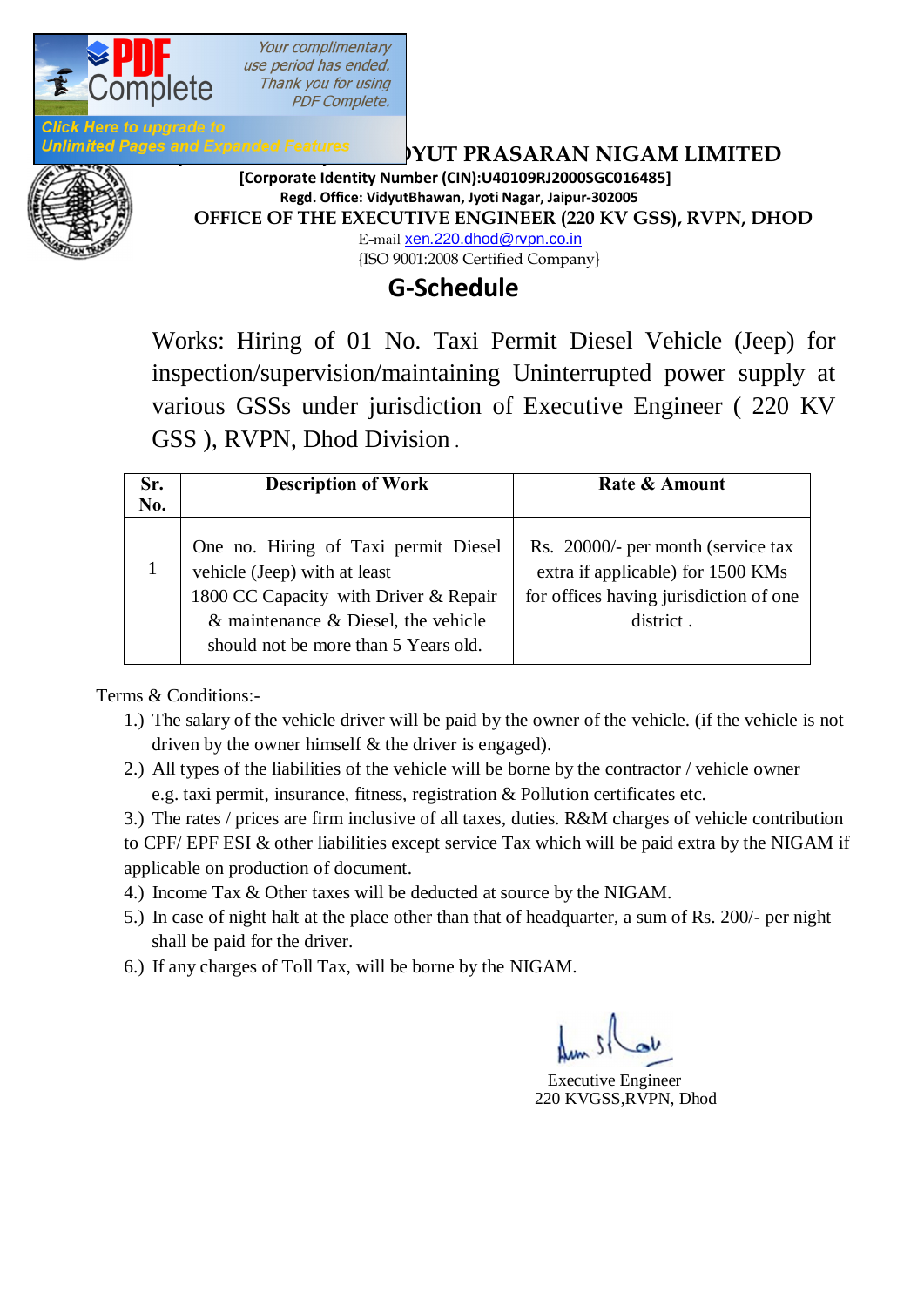

Your complimentary use period has ended. Thank you for using **PDF Complete.** 

## **Unlimited Pages and Expanded Features MATHED YUT PRASARAN NIGAM LIMITED**



 **[Corporate Identity Number (CIN):U40109RJ2000SGC016485] Regd. Office: VidyutBhawan, Jyoti Nagar, Jaipur-302005 OFFICE OF THE EXECUTIVE ENGINEER (220 KV GSS), RVPN, DHOD** E-mail [xen.220.dhod@rvpn.co.in](mailto:xen.220.dhod@rvpn.co.in) {ISO 9001:2008 Certified Company}

## **G-Schedule**

Works: Hiring of 01 No. Taxi Permit Diesel Vehicle (Jeep) for inspection/supervision/maintaining Uninterrupted power supply at various GSSs under jurisdiction of Executive Engineer ( 220 KV GSS ), RVPN, Dhod Division .

| Sr.<br>No. | <b>Description of Work</b>                                                                                                                                                                         | Rate & Amount                                                                                                                  |  |  |
|------------|----------------------------------------------------------------------------------------------------------------------------------------------------------------------------------------------------|--------------------------------------------------------------------------------------------------------------------------------|--|--|
|            | One no. Hiring of Taxi permit Diesel<br>vehicle (Jeep) with at least<br>1800 CC Capacity with Driver & Repair<br>$\&$ maintenance $\&$ Diesel, the vehicle<br>should not be more than 5 Years old. | Rs. 20000/- per month (service tax<br>extra if applicable) for 1500 KMs<br>for offices having jurisdiction of one<br>district. |  |  |

Terms & Conditions:-

- 1.) The salary of the vehicle driver will be paid by the owner of the vehicle. (if the vehicle is not driven by the owner himself  $\&$  the driver is engaged).
- 2.) All types of the liabilities of the vehicle will be borne by the contractor / vehicle owner e.g. taxi permit, insurance, fitness, registration & Pollution certificates etc.

3.) The rates / prices are firm inclusive of all taxes, duties. R&M charges of vehicle contribution

to CPF/ EPF ESI & other liabilities except service Tax which will be paid extra by the NIGAM if applicable on production of document.

- 4.) Income Tax & Other taxes will be deducted at source by the NIGAM.
- 5.) In case of night halt at the place other than that of headquarter, a sum of Rs. 200/- per night shall be paid for the driver.
- 6.) If any charges of Toll Tax, will be borne by the NIGAM.

Executive Engineer 220 KVGSS,RVPN, Dhod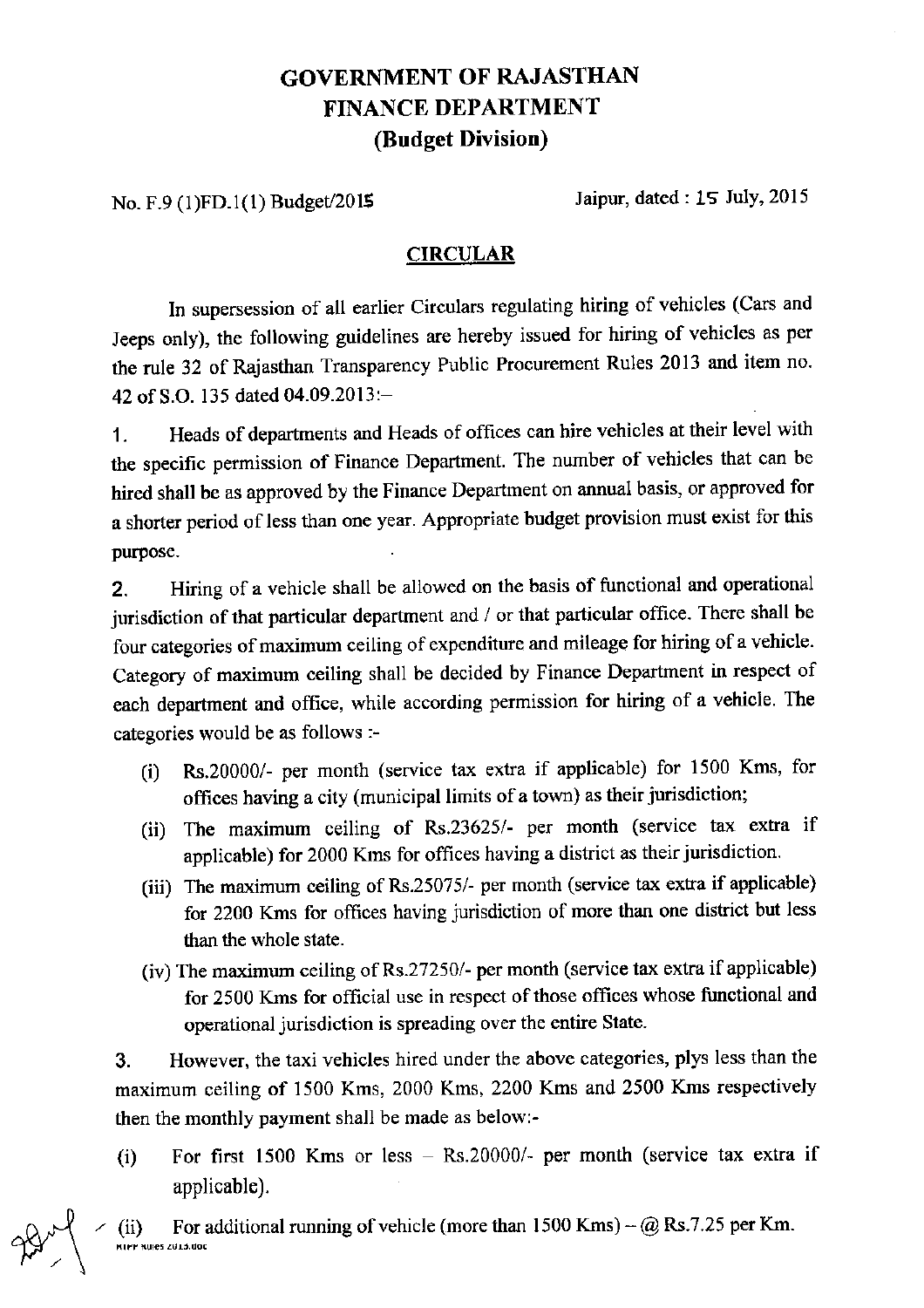## **GOVERNMENT OF RAJASTHAN FINANCE DEPARTMENT** (Budget Division)

No. F.9 (1)FD.1(1) Budget/2015

Jaipur, dated :  $15$  July,  $2015$ 

#### **CIRCULAR**

In supersession of all earlier Circulars regulating hiring of vehicles (Cars and Jeeps only), the following guidelines are hereby issued for hiring of vehicles as per the rule 32 of Rajasthan Transparency Public Procurement Rules 2013 and item no. 42 of S.O. 135 dated 04.09.2013:-

Heads of departments and Heads of offices can hire vehicles at their level with  $1.$ the specific permission of Finance Department. The number of vehicles that can be hired shall be as approved by the Finance Department on annual basis, or approved for a shorter period of less than one year. Appropriate budget provision must exist for this purpose.

Hiring of a vehicle shall be allowed on the basis of functional and operational  $\mathcal{P}$ jurisdiction of that particular department and / or that particular office. There shall be four categories of maximum ceiling of expenditure and mileage for hiring of a vehicle. Category of maximum ceiling shall be decided by Finance Department in respect of each department and office, while according permission for hiring of a vehicle. The categories would be as follows :-

- Rs.20000/- per month (service tax extra if applicable) for 1500 Kms, for  $(i)$ offices having a city (municipal limits of a town) as their jurisdiction;
- The maximum ceiling of Rs.23625/- per month (service tax extra if  $(ii)$ applicable) for 2000 Kms for offices having a district as their jurisdiction.
- (iii) The maximum ceiling of Rs.25075/- per month (service tax extra if applicable) for 2200 Kms for offices having jurisdiction of more than one district but less than the whole state.
- (iv) The maximum ceiling of Rs.27250/- per month (service tax extra if applicable) for 2500 Kms for official use in respect of those offices whose functional and operational jurisdiction is spreading over the entire State.

However, the taxi vehicles hired under the above categories, plys less than the 3. maximum ceiling of 1500 Kms, 2000 Kms, 2200 Kms and 2500 Kms respectively then the monthly payment shall be made as below:-

For first 1500 Kms or less  $-$  Rs.20000/- per month (service tax extra if  $(i)$ applicable).

For additional running of vehicle (more than  $1500$  Kms) - @ Rs.7.25 per Km.  $(ii)$ KIPP RUJES ZULS.DOC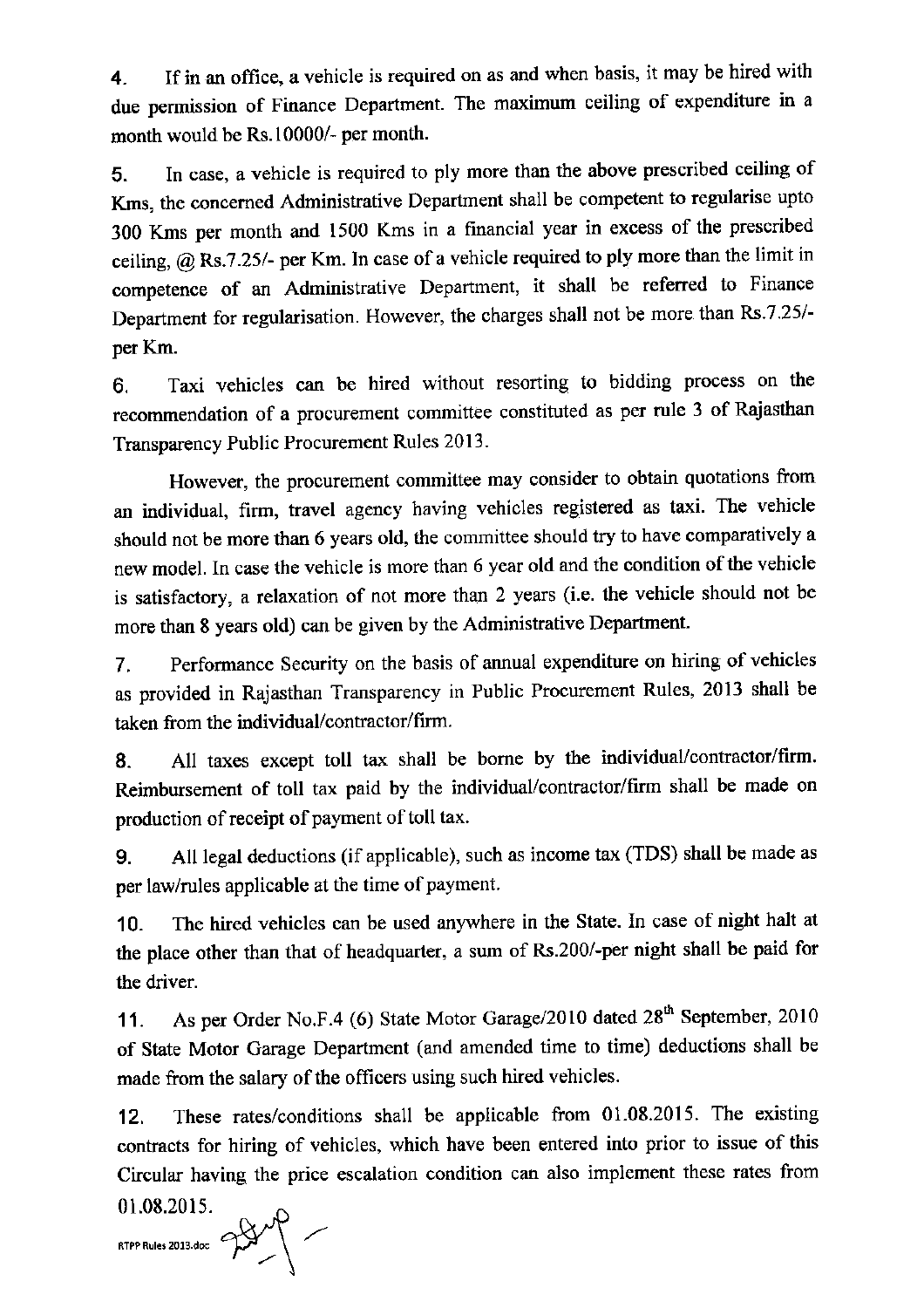If in an office, a vehicle is required on as and when basis, it may be hired with  $4.$ due permission of Finance Department. The maximum ceiling of expenditure in a month would be Rs.10000/- per month.

In case, a vehicle is required to ply more than the above prescribed ceiling of 5. Kms, the concerned Administrative Department shall be competent to regularise upto 300 Kms per month and 1500 Kms in a financial year in excess of the prescribed ceiling,  $\omega$  Rs.7.25/- per Km. In case of a vehicle required to ply more than the limit in competence of an Administrative Department, it shall be referred to Finance Department for regularisation. However, the charges shall not be more than Rs.7.25/per Km.

Taxi vehicles can be hired without resorting to bidding process on the 6. recommendation of a procurement committee constituted as per rule 3 of Rajasthan Transparency Public Procurement Rules 2013.

However, the procurement committee may consider to obtain quotations from an individual, firm, travel agency having vehicles registered as taxi. The vehicle should not be more than 6 years old, the committee should try to have comparatively a new model. In case the vehicle is more than 6 year old and the condition of the vehicle is satisfactory, a relaxation of not more than 2 years (i.e. the vehicle should not be more than 8 years old) can be given by the Administrative Department.

Performance Security on the basis of annual expenditure on hiring of vehicles  $7<sub>1</sub>$ as provided in Rajasthan Transparency in Public Procurement Rules, 2013 shall be taken from the individual/contractor/firm.

All taxes except toll tax shall be borne by the individual/contractor/firm. 8. Reimbursement of toll tax paid by the individual/contractor/firm shall be made on production of receipt of payment of toll tax.

All legal deductions (if applicable), such as income tax (TDS) shall be made as 9. per law/rules applicable at the time of payment.

The hired vehicles can be used anywhere in the State. In case of night halt at  $10.$ the place other than that of headquarter, a sum of Rs.200/-per night shall be paid for the driver.

As per Order No.F.4 (6) State Motor Garage/2010 dated 28<sup>th</sup> September, 2010  $11.$ of State Motor Garage Department (and amended time to time) deductions shall be made from the salary of the officers using such hired vehicles.

These rates/conditions shall be applicable from 01.08.2015. The existing  $12.$ contracts for hiring of vehicles, which have been entered into prior to issue of this Circular having the price escalation condition can also implement these rates from 01.08.2015.

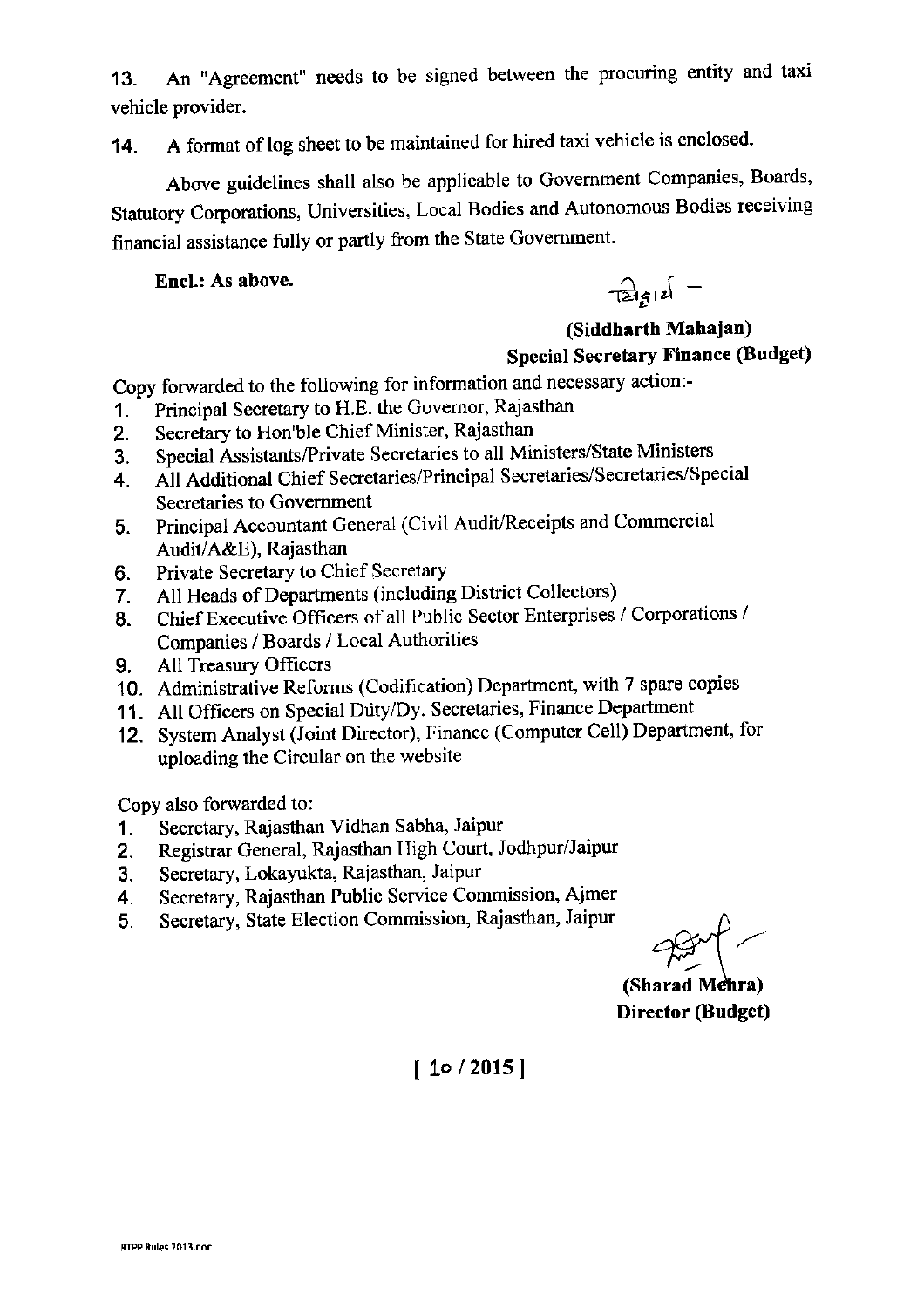An "Agreement" needs to be signed between the procuring entity and taxi  $13.$ vehicle provider.

A format of log sheet to be maintained for hired taxi vehicle is enclosed.  $14.$ 

Above guidelines shall also be applicable to Government Companies, Boards, Statutory Corporations, Universities, Local Bodies and Autonomous Bodies receiving financial assistance fully or partly from the State Government.

Encl.: As above.

 $\frac{1}{\sqrt{24}}$ 

### (Siddharth Mahajan) **Special Secretary Finance (Budget)**

Copy forwarded to the following for information and necessary action:-

- Principal Secretary to H.E. the Governor, Rajasthan  $\mathbf{1}$ .
- Secretary to Hon'ble Chief Minister, Rajasthan  $2.$
- Special Assistants/Private Secretaries to all Ministers/State Ministers 3.
- All Additional Chief Secretaries/Principal Secretaries/Secretaries/Special  $\overline{4}$ Secretaries to Government
- Principal Accountant General (Civil Audit/Receipts and Commercial 5. Audit/A&E), Rajasthan
- Private Secretary to Chief Secretary 6.
- All Heads of Departments (including District Collectors)  $7.$
- Chief Executive Officers of all Public Sector Enterprises / Corporations / 8. Companies / Boards / Local Authorities
- **All Treasury Officers** 9.
- 10. Administrative Reforms (Codification) Department, with 7 spare copies
- 11. All Officers on Special Duty/Dy. Secretaries, Finance Department
- 12. System Analyst (Joint Director), Finance (Computer Cell) Department, for uploading the Circular on the website

Copy also forwarded to:

- Secretary, Rajasthan Vidhan Sabha, Jaipur  $1.$
- Registrar General, Rajasthan High Court, Jodhpur/Jaipur  $2.$
- Secretary, Lokayukta, Rajasthan, Jaipur 3.
- Secretary, Rajasthan Public Service Commission, Ajmer 4.
- Secretary, State Election Commission, Rajasthan, Jaipur 5.

(Sharad Menra) Director (Budget)

 $10/2015$